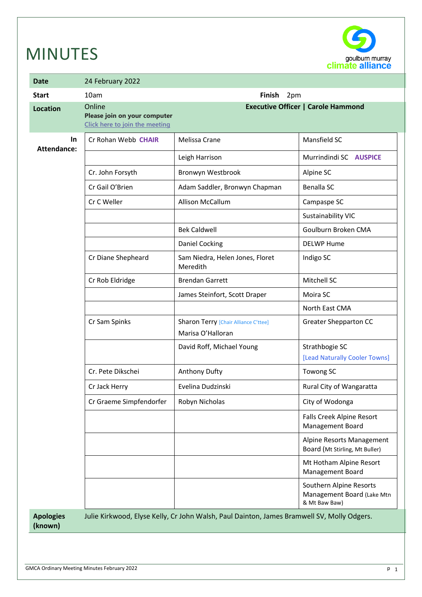# MINUTES



| <b>Date</b>                 | 24 February 2022                                                         |                                                                                            |                                                                        |  |
|-----------------------------|--------------------------------------------------------------------------|--------------------------------------------------------------------------------------------|------------------------------------------------------------------------|--|
| <b>Start</b>                | 10am                                                                     | Finish<br>2pm                                                                              |                                                                        |  |
| <b>Location</b>             | Online<br>Please join on your computer<br>Click here to join the meeting |                                                                                            | <b>Executive Officer   Carole Hammond</b>                              |  |
| In.<br><b>Attendance:</b>   | Cr Rohan Webb CHAIR                                                      | Melissa Crane                                                                              | Mansfield SC                                                           |  |
|                             |                                                                          | Leigh Harrison                                                                             | Murrindindi SC AUSPICE                                                 |  |
|                             | Cr. John Forsyth                                                         | Bronwyn Westbrook                                                                          | Alpine SC                                                              |  |
|                             | Cr Gail O'Brien                                                          | Adam Saddler, Bronwyn Chapman                                                              | <b>Benalla SC</b>                                                      |  |
|                             | Cr C Weller                                                              | Allison McCallum                                                                           | Campaspe SC                                                            |  |
|                             |                                                                          |                                                                                            | Sustainability VIC                                                     |  |
|                             |                                                                          | <b>Bek Caldwell</b>                                                                        | Goulburn Broken CMA                                                    |  |
|                             |                                                                          | <b>Daniel Cocking</b>                                                                      | <b>DELWP Hume</b>                                                      |  |
|                             | Cr Diane Shepheard                                                       | Sam Niedra, Helen Jones, Floret<br>Meredith                                                | Indigo SC                                                              |  |
|                             | Cr Rob Eldridge                                                          | <b>Brendan Garrett</b>                                                                     | Mitchell SC                                                            |  |
|                             |                                                                          | James Steinfort, Scott Draper                                                              | Moira SC                                                               |  |
|                             |                                                                          |                                                                                            | North East CMA                                                         |  |
|                             | Cr Sam Spinks                                                            | Sharon Terry [Chair Alliance C'ttee]<br>Marisa O'Halloran                                  | <b>Greater Shepparton CC</b>                                           |  |
|                             |                                                                          | David Roff, Michael Young                                                                  | Strathbogie SC<br>[Lead Naturally Cooler Towns]                        |  |
|                             | Cr. Pete Dikschei                                                        | Anthony Dufty                                                                              | Towong SC                                                              |  |
|                             | Cr Jack Herry                                                            | Evelina Dudzinski                                                                          | Rural City of Wangaratta                                               |  |
|                             | Cr Graeme Simpfendorfer                                                  | Robyn Nicholas                                                                             | City of Wodonga                                                        |  |
|                             |                                                                          |                                                                                            | Falls Creek Alpine Resort<br>Management Board                          |  |
|                             |                                                                          |                                                                                            | Alpine Resorts Management<br>Board (Mt Stirling, Mt Buller)            |  |
|                             |                                                                          |                                                                                            | Mt Hotham Alpine Resort<br>Management Board                            |  |
|                             |                                                                          |                                                                                            | Southern Alpine Resorts<br>Management Board (Lake Mtn<br>& Mt Baw Baw) |  |
| <b>Apologies</b><br>(known) |                                                                          | Julie Kirkwood, Elyse Kelly, Cr John Walsh, Paul Dainton, James Bramwell SV, Molly Odgers. |                                                                        |  |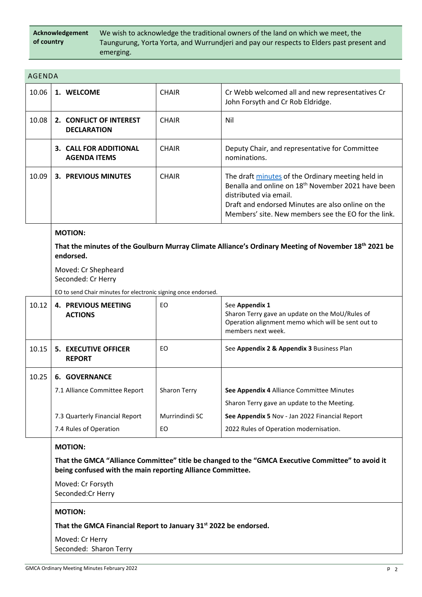| Acknowledgement | We wish to acknowledge the traditional owners of the land on which we meet, the          |
|-----------------|------------------------------------------------------------------------------------------|
| of country      | Taungurung, Yorta Yorta, and Wurrundjeri and pay our respects to Elders past present and |
|                 | emerging.                                                                                |

| 1. WELCOME<br><b>CHAIR</b><br>Cr Webb welcomed all and new representatives Cr<br>John Forsyth and Cr Rob Eldridge.<br><b>CHAIR</b><br>Nil<br>2. CONFLICT OF INTEREST<br><b>DECLARATION</b><br><b>CHAIR</b><br><b>3. CALL FOR ADDITIONAL</b><br>Deputy Chair, and representative for Committee<br>nominations.<br><b>AGENDA ITEMS</b><br><b>CHAIR</b><br>3. PREVIOUS MINUTES<br>The draft minutes of the Ordinary meeting held in<br>Benalla and online on 18 <sup>th</sup> November 2021 have been<br>distributed via email.<br>Draft and endorsed Minutes are also online on the<br>Members' site. New members see the EO for the link.<br><b>MOTION:</b><br>That the minutes of the Goulburn Murray Climate Alliance's Ordinary Meeting of November 18 <sup>th</sup> 2021 be<br>endorsed.<br>Moved: Cr Shepheard<br>Seconded: Cr Herry<br>EO to send Chair minutes for electronic signing once endorsed.<br>EO.<br>See Appendix 1<br><b>4. PREVIOUS MEETING</b><br>Sharon Terry gave an update on the MoU/Rules of<br><b>ACTIONS</b><br>Operation alignment memo which will be sent out to<br>members next week.<br>EO<br>See Appendix 2 & Appendix 3 Business Plan<br><b>5. EXECUTIVE OFFICER</b><br><b>REPORT</b><br><b>6. GOVERNANCE</b><br>7.1 Alliance Committee Report<br>Sharon Terry<br>See Appendix 4 Alliance Committee Minutes<br>Sharon Terry gave an update to the Meeting.<br>7.3 Quarterly Financial Report<br>Murrindindi SC<br>See Appendix 5 Nov - Jan 2022 Financial Report<br>7.4 Rules of Operation<br>EO<br>2022 Rules of Operation modernisation.<br><b>MOTION:</b><br>That the GMCA "Alliance Committee" title be changed to the "GMCA Executive Committee" to avoid it<br>being confused with the main reporting Alliance Committee.<br>Moved: Cr Forsyth<br>Seconded: Cr Herry<br><b>MOTION:</b><br>That the GMCA Financial Report to January 31 <sup>st</sup> 2022 be endorsed.<br>Moved: Cr Herry<br>Seconded: Sharon Terry | <b>AGENDA</b> |  |  |     |
|-----------------------------------------------------------------------------------------------------------------------------------------------------------------------------------------------------------------------------------------------------------------------------------------------------------------------------------------------------------------------------------------------------------------------------------------------------------------------------------------------------------------------------------------------------------------------------------------------------------------------------------------------------------------------------------------------------------------------------------------------------------------------------------------------------------------------------------------------------------------------------------------------------------------------------------------------------------------------------------------------------------------------------------------------------------------------------------------------------------------------------------------------------------------------------------------------------------------------------------------------------------------------------------------------------------------------------------------------------------------------------------------------------------------------------------------------------------------------------------------------------------------------------------------------------------------------------------------------------------------------------------------------------------------------------------------------------------------------------------------------------------------------------------------------------------------------------------------------------------------------------------------------------------------------------------------------------------|---------------|--|--|-----|
|                                                                                                                                                                                                                                                                                                                                                                                                                                                                                                                                                                                                                                                                                                                                                                                                                                                                                                                                                                                                                                                                                                                                                                                                                                                                                                                                                                                                                                                                                                                                                                                                                                                                                                                                                                                                                                                                                                                                                           | 10.06         |  |  |     |
|                                                                                                                                                                                                                                                                                                                                                                                                                                                                                                                                                                                                                                                                                                                                                                                                                                                                                                                                                                                                                                                                                                                                                                                                                                                                                                                                                                                                                                                                                                                                                                                                                                                                                                                                                                                                                                                                                                                                                           | 10.08         |  |  |     |
|                                                                                                                                                                                                                                                                                                                                                                                                                                                                                                                                                                                                                                                                                                                                                                                                                                                                                                                                                                                                                                                                                                                                                                                                                                                                                                                                                                                                                                                                                                                                                                                                                                                                                                                                                                                                                                                                                                                                                           |               |  |  |     |
|                                                                                                                                                                                                                                                                                                                                                                                                                                                                                                                                                                                                                                                                                                                                                                                                                                                                                                                                                                                                                                                                                                                                                                                                                                                                                                                                                                                                                                                                                                                                                                                                                                                                                                                                                                                                                                                                                                                                                           | 10.09         |  |  |     |
|                                                                                                                                                                                                                                                                                                                                                                                                                                                                                                                                                                                                                                                                                                                                                                                                                                                                                                                                                                                                                                                                                                                                                                                                                                                                                                                                                                                                                                                                                                                                                                                                                                                                                                                                                                                                                                                                                                                                                           |               |  |  |     |
|                                                                                                                                                                                                                                                                                                                                                                                                                                                                                                                                                                                                                                                                                                                                                                                                                                                                                                                                                                                                                                                                                                                                                                                                                                                                                                                                                                                                                                                                                                                                                                                                                                                                                                                                                                                                                                                                                                                                                           |               |  |  |     |
|                                                                                                                                                                                                                                                                                                                                                                                                                                                                                                                                                                                                                                                                                                                                                                                                                                                                                                                                                                                                                                                                                                                                                                                                                                                                                                                                                                                                                                                                                                                                                                                                                                                                                                                                                                                                                                                                                                                                                           |               |  |  |     |
|                                                                                                                                                                                                                                                                                                                                                                                                                                                                                                                                                                                                                                                                                                                                                                                                                                                                                                                                                                                                                                                                                                                                                                                                                                                                                                                                                                                                                                                                                                                                                                                                                                                                                                                                                                                                                                                                                                                                                           |               |  |  |     |
|                                                                                                                                                                                                                                                                                                                                                                                                                                                                                                                                                                                                                                                                                                                                                                                                                                                                                                                                                                                                                                                                                                                                                                                                                                                                                                                                                                                                                                                                                                                                                                                                                                                                                                                                                                                                                                                                                                                                                           | 10.12         |  |  |     |
|                                                                                                                                                                                                                                                                                                                                                                                                                                                                                                                                                                                                                                                                                                                                                                                                                                                                                                                                                                                                                                                                                                                                                                                                                                                                                                                                                                                                                                                                                                                                                                                                                                                                                                                                                                                                                                                                                                                                                           | 10.15         |  |  |     |
|                                                                                                                                                                                                                                                                                                                                                                                                                                                                                                                                                                                                                                                                                                                                                                                                                                                                                                                                                                                                                                                                                                                                                                                                                                                                                                                                                                                                                                                                                                                                                                                                                                                                                                                                                                                                                                                                                                                                                           | 10.25         |  |  |     |
|                                                                                                                                                                                                                                                                                                                                                                                                                                                                                                                                                                                                                                                                                                                                                                                                                                                                                                                                                                                                                                                                                                                                                                                                                                                                                                                                                                                                                                                                                                                                                                                                                                                                                                                                                                                                                                                                                                                                                           |               |  |  |     |
|                                                                                                                                                                                                                                                                                                                                                                                                                                                                                                                                                                                                                                                                                                                                                                                                                                                                                                                                                                                                                                                                                                                                                                                                                                                                                                                                                                                                                                                                                                                                                                                                                                                                                                                                                                                                                                                                                                                                                           |               |  |  |     |
|                                                                                                                                                                                                                                                                                                                                                                                                                                                                                                                                                                                                                                                                                                                                                                                                                                                                                                                                                                                                                                                                                                                                                                                                                                                                                                                                                                                                                                                                                                                                                                                                                                                                                                                                                                                                                                                                                                                                                           |               |  |  |     |
|                                                                                                                                                                                                                                                                                                                                                                                                                                                                                                                                                                                                                                                                                                                                                                                                                                                                                                                                                                                                                                                                                                                                                                                                                                                                                                                                                                                                                                                                                                                                                                                                                                                                                                                                                                                                                                                                                                                                                           |               |  |  |     |
|                                                                                                                                                                                                                                                                                                                                                                                                                                                                                                                                                                                                                                                                                                                                                                                                                                                                                                                                                                                                                                                                                                                                                                                                                                                                                                                                                                                                                                                                                                                                                                                                                                                                                                                                                                                                                                                                                                                                                           |               |  |  |     |
|                                                                                                                                                                                                                                                                                                                                                                                                                                                                                                                                                                                                                                                                                                                                                                                                                                                                                                                                                                                                                                                                                                                                                                                                                                                                                                                                                                                                                                                                                                                                                                                                                                                                                                                                                                                                                                                                                                                                                           |               |  |  |     |
|                                                                                                                                                                                                                                                                                                                                                                                                                                                                                                                                                                                                                                                                                                                                                                                                                                                                                                                                                                                                                                                                                                                                                                                                                                                                                                                                                                                                                                                                                                                                                                                                                                                                                                                                                                                                                                                                                                                                                           |               |  |  |     |
|                                                                                                                                                                                                                                                                                                                                                                                                                                                                                                                                                                                                                                                                                                                                                                                                                                                                                                                                                                                                                                                                                                                                                                                                                                                                                                                                                                                                                                                                                                                                                                                                                                                                                                                                                                                                                                                                                                                                                           |               |  |  |     |
|                                                                                                                                                                                                                                                                                                                                                                                                                                                                                                                                                                                                                                                                                                                                                                                                                                                                                                                                                                                                                                                                                                                                                                                                                                                                                                                                                                                                                                                                                                                                                                                                                                                                                                                                                                                                                                                                                                                                                           |               |  |  |     |
|                                                                                                                                                                                                                                                                                                                                                                                                                                                                                                                                                                                                                                                                                                                                                                                                                                                                                                                                                                                                                                                                                                                                                                                                                                                                                                                                                                                                                                                                                                                                                                                                                                                                                                                                                                                                                                                                                                                                                           |               |  |  |     |
| GMCA Ordinary Meeting Minutes February 2022                                                                                                                                                                                                                                                                                                                                                                                                                                                                                                                                                                                                                                                                                                                                                                                                                                                                                                                                                                                                                                                                                                                                                                                                                                                                                                                                                                                                                                                                                                                                                                                                                                                                                                                                                                                                                                                                                                               |               |  |  | p 2 |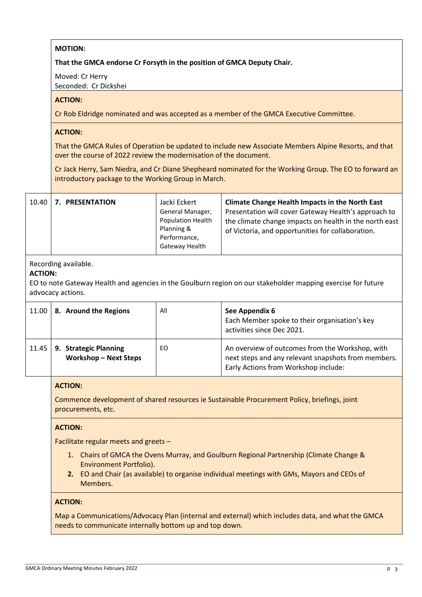#### **MOTION:**

**That the GMCA endorse Cr Forsyth in the position of GMCA Deputy Chair.**

Moved: Cr Herry Seconded: Cr Dickshei

#### **ACTION:**

Cr Rob Eldridge nominated and was accepted as a member of the GMCA Executive Committee.

#### **ACTION:**

That the GMCA Rules of Operation be updated to include new Associate Members Alpine Resorts, and that over the course of 2022 review the modernisation of the document.

Cr Jack Herry, Sam Niedra, and Cr Diane Shepheard nominated for the Working Group. The EO to forward an introductory package to the Working Group in March.

|  | 10.40   7. PRESENTATION | Jacki Eckert<br>General Manager,<br>Population Health<br>Planning &<br>Performance,<br>Gateway Health | <b>Climate Change Health Impacts in the North East</b><br>Presentation will cover Gateway Health's approach to<br>the climate change impacts on health in the north east<br>of Victoria, and opportunities for collaboration. |
|--|-------------------------|-------------------------------------------------------------------------------------------------------|-------------------------------------------------------------------------------------------------------------------------------------------------------------------------------------------------------------------------------|
|--|-------------------------|-------------------------------------------------------------------------------------------------------|-------------------------------------------------------------------------------------------------------------------------------------------------------------------------------------------------------------------------------|

#### Recording available.

#### **ACTION:**

EO to note Gateway Health and agencies in the Goulburn region on our stakeholder mapping exercise for future advocacy actions.

|         | 11.00   8. Around the Regions                         | All | See Appendix 6<br>Each Member spoke to their organisation's key<br>activities since Dec 2021.                                                  |
|---------|-------------------------------------------------------|-----|------------------------------------------------------------------------------------------------------------------------------------------------|
| 11.45 l | 9. Strategic Planning<br><b>Workshop - Next Steps</b> | EO  | An overview of outcomes from the Workshop, with<br>next steps and any relevant snapshots from members.<br>Early Actions from Workshop include: |

#### **ACTION:**

Commence development of shared resources ie Sustainable Procurement Policy, briefings, joint procurements, etc.

#### **ACTION:**

Facilitate regular meets and greets –

- 1. Chairs of GMCA the Ovens Murray, and Goulburn Regional Partnership (Climate Change & Environment Portfolio).
- **2.** EO and Chair (as available) to organise individual meetings with GMs, Mayors and CEOs of Members.

#### **ACTION:**

Map a Communications/Advocacy Plan (internal and external) which includes data, and what the GMCA needs to communicate internally bottom up and top down.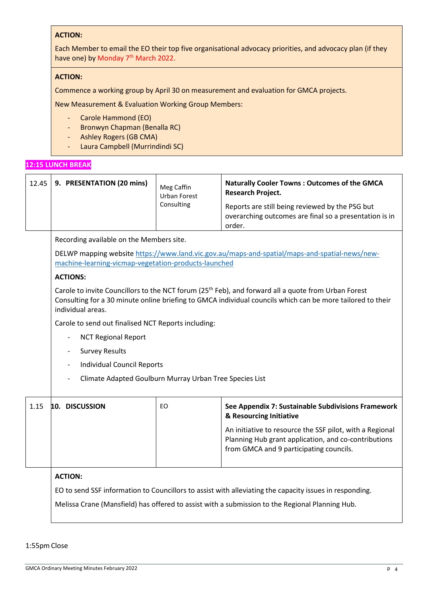## **ACTION:**

Each Member to email the EO their top five organisational advocacy priorities, and advocacy plan (if they have one) by Monday 7<sup>th</sup> March 2022.

# **ACTION:**

Commence a working group by April 30 on measurement and evaluation for GMCA projects.

New Measurement & Evaluation Working Group Members:

- Carole Hammond (EO)
- Bronwyn Chapman (Benalla RC)
- Ashley Rogers (GB CMA)
- Laura Campbell (Murrindindi SC)

## **12:15 LUNCH BREAK**

| 12.45 | 9. PRESENTATION (20 mins)                                                                                                                                                                                                                          | Meg Caffin<br><b>Urban Forest</b><br>Consulting                                                                                                       | <b>Naturally Cooler Towns: Outcomes of the GMCA</b><br>Research Project.<br>Reports are still being reviewed by the PSG but<br>overarching outcomes are final so a presentation is in<br>order. |  |
|-------|----------------------------------------------------------------------------------------------------------------------------------------------------------------------------------------------------------------------------------------------------|-------------------------------------------------------------------------------------------------------------------------------------------------------|-------------------------------------------------------------------------------------------------------------------------------------------------------------------------------------------------|--|
|       | Recording available on the Members site.                                                                                                                                                                                                           |                                                                                                                                                       |                                                                                                                                                                                                 |  |
|       |                                                                                                                                                                                                                                                    | DELWP mapping website https://www.land.vic.gov.au/maps-and-spatial/maps-and-spatial-news/new-<br>machine-learning-vicmap-vegetation-products-launched |                                                                                                                                                                                                 |  |
|       | <b>ACTIONS:</b>                                                                                                                                                                                                                                    |                                                                                                                                                       |                                                                                                                                                                                                 |  |
|       | Carole to invite Councillors to the NCT forum (25 <sup>th</sup> Feb), and forward all a quote from Urban Forest<br>Consulting for a 30 minute online briefing to GMCA individual councils which can be more tailored to their<br>individual areas. |                                                                                                                                                       |                                                                                                                                                                                                 |  |
|       |                                                                                                                                                                                                                                                    | Carole to send out finalised NCT Reports including:                                                                                                   |                                                                                                                                                                                                 |  |
|       | <b>NCT Regional Report</b><br>$\overline{\phantom{a}}$                                                                                                                                                                                             |                                                                                                                                                       |                                                                                                                                                                                                 |  |
|       | <b>Survey Results</b><br>$\overline{\phantom{a}}$                                                                                                                                                                                                  |                                                                                                                                                       |                                                                                                                                                                                                 |  |
|       | $\overline{\phantom{a}}$                                                                                                                                                                                                                           | <b>Individual Council Reports</b>                                                                                                                     |                                                                                                                                                                                                 |  |
|       | Climate Adapted Goulburn Murray Urban Tree Species List                                                                                                                                                                                            |                                                                                                                                                       |                                                                                                                                                                                                 |  |
|       |                                                                                                                                                                                                                                                    |                                                                                                                                                       |                                                                                                                                                                                                 |  |
| 1.15  | 10. DISCUSSION                                                                                                                                                                                                                                     | EO                                                                                                                                                    | See Appendix 7: Sustainable Subdivisions Framework<br>& Resourcing Initiative                                                                                                                   |  |
|       |                                                                                                                                                                                                                                                    |                                                                                                                                                       | An initiative to resource the SSF pilot, with a Regional<br>Planning Hub grant application, and co-contributions<br>from GMCA and 9 participating councils.                                     |  |
|       | <b>ACTION:</b>                                                                                                                                                                                                                                     |                                                                                                                                                       |                                                                                                                                                                                                 |  |
|       |                                                                                                                                                                                                                                                    | EO to send SSF information to Councillors to assist with alleviating the capacity issues in responding.                                               |                                                                                                                                                                                                 |  |
|       |                                                                                                                                                                                                                                                    | Melissa Crane (Mansfield) has offered to assist with a submission to the Regional Planning Hub.                                                       |                                                                                                                                                                                                 |  |

1:55pmClose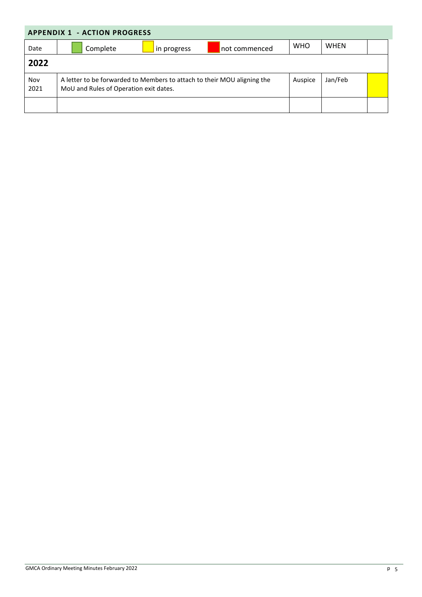| <b>APPENDIX 1 - ACTION PROGRESS</b> |                                                                                                                                         |            |             |  |  |
|-------------------------------------|-----------------------------------------------------------------------------------------------------------------------------------------|------------|-------------|--|--|
| Date                                | Complete<br>in progress<br>not commenced                                                                                                | <b>WHO</b> | <b>WHEN</b> |  |  |
| 2022                                |                                                                                                                                         |            |             |  |  |
| Nov<br>2021                         | A letter to be forwarded to Members to attach to their MOU aligning the<br>Jan/Feb<br>Auspice<br>MoU and Rules of Operation exit dates. |            |             |  |  |
|                                     |                                                                                                                                         |            |             |  |  |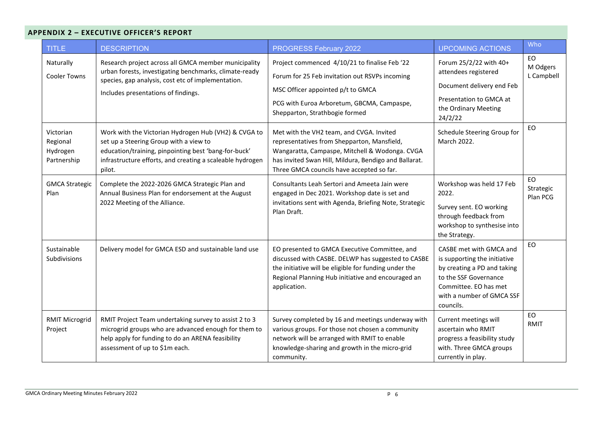# **APPENDIX 2 – EXECUTIVE OFFICER'S REPORT**

| <b>TITLE</b>                                     | <b>DESCRIPTION</b>                                                                                                                                                                                                            | PROGRESS February 2022                                                                                                                                                                                                                          | <b>UPCOMING ACTIONS</b>                                                                                                                                                            | Who                          |
|--------------------------------------------------|-------------------------------------------------------------------------------------------------------------------------------------------------------------------------------------------------------------------------------|-------------------------------------------------------------------------------------------------------------------------------------------------------------------------------------------------------------------------------------------------|------------------------------------------------------------------------------------------------------------------------------------------------------------------------------------|------------------------------|
| Naturally<br><b>Cooler Towns</b>                 | Research project across all GMCA member municipality<br>urban forests, investigating benchmarks, climate-ready<br>species, gap analysis, cost etc of implementation.<br>Includes presentations of findings.                   | Project commenced 4/10/21 to finalise Feb '22<br>Forum for 25 Feb invitation out RSVPs incoming<br>MSC Officer appointed p/t to GMCA<br>PCG with Euroa Arboretum, GBCMA, Campaspe,<br>Shepparton, Strathbogie formed                            | Forum 25/2/22 with 40+<br>attendees registered<br>Document delivery end Feb<br>Presentation to GMCA at<br>the Ordinary Meeting<br>24/2/22                                          | EO<br>M Odgers<br>L Campbell |
| Victorian<br>Regional<br>Hydrogen<br>Partnership | Work with the Victorian Hydrogen Hub (VH2) & CVGA to<br>set up a Steering Group with a view to<br>education/training, pinpointing best 'bang-for-buck'<br>infrastructure efforts, and creating a scaleable hydrogen<br>pilot. | Met with the VH2 team, and CVGA. Invited<br>representatives from Shepparton, Mansfield,<br>Wangaratta, Campaspe, Mitchell & Wodonga. CVGA<br>has invited Swan Hill, Mildura, Bendigo and Ballarat.<br>Three GMCA councils have accepted so far. | Schedule Steering Group for<br>March 2022.                                                                                                                                         | EO                           |
| <b>GMCA Strategic</b><br>Plan                    | Complete the 2022-2026 GMCA Strategic Plan and<br>Annual Business Plan for endorsement at the August<br>2022 Meeting of the Alliance.                                                                                         | Consultants Leah Sertori and Ameeta Jain were<br>engaged in Dec 2021. Workshop date is set and<br>invitations sent with Agenda, Briefing Note, Strategic<br>Plan Draft.                                                                         | Workshop was held 17 Feb<br>2022.<br>Survey sent. EO working<br>through feedback from<br>workshop to synthesise into<br>the Strategy.                                              | EO<br>Strategic<br>Plan PCG  |
| Sustainable<br>Subdivisions                      | Delivery model for GMCA ESD and sustainable land use                                                                                                                                                                          | EO presented to GMCA Executive Committee, and<br>discussed with CASBE. DELWP has suggested to CASBE<br>the initiative will be eligible for funding under the<br>Regional Planning Hub initiative and encouraged an<br>application.              | CASBE met with GMCA and<br>is supporting the initiative<br>by creating a PD and taking<br>to the SSF Governance<br>Committee. EO has met<br>with a number of GMCA SSF<br>councils. | EO                           |
| <b>RMIT Microgrid</b><br>Project                 | RMIT Project Team undertaking survey to assist 2 to 3<br>microgrid groups who are advanced enough for them to<br>help apply for funding to do an ARENA feasibility<br>assessment of up to \$1m each.                          | Survey completed by 16 and meetings underway with<br>various groups. For those not chosen a community<br>network will be arranged with RMIT to enable<br>knowledge-sharing and growth in the micro-grid<br>community.                           | Current meetings will<br>ascertain who RMIT<br>progress a feasibility study<br>with. Three GMCA groups<br>currently in play.                                                       | EO<br><b>RMIT</b>            |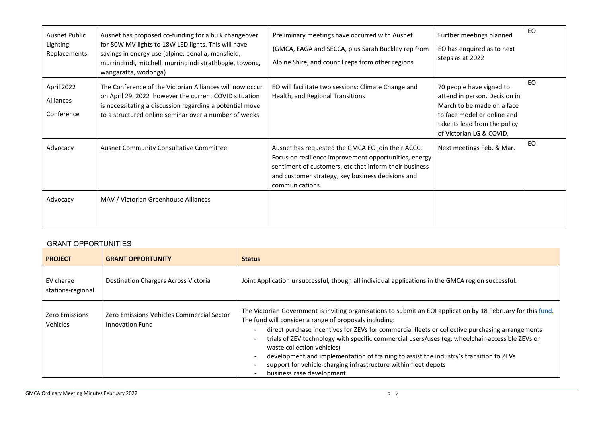| <b>Ausnet Public</b><br>Lighting<br>Replacements | Ausnet has proposed co-funding for a bulk changeover<br>for 80W MV lights to 18W LED lights. This will have<br>savings in energy use (alpine, benalla, mansfield,<br>murrindindi, mitchell, murrindindi strathbogie, towong,<br>wangaratta, wodonga) | Preliminary meetings have occurred with Ausnet<br>(GMCA, EAGA and SECCA, plus Sarah Buckley rep from<br>Alpine Shire, and council reps from other regions                                                                                    | Further meetings planned<br>EO has enquired as to next<br>steps as at 2022                                                                                                          | EO |
|--------------------------------------------------|------------------------------------------------------------------------------------------------------------------------------------------------------------------------------------------------------------------------------------------------------|----------------------------------------------------------------------------------------------------------------------------------------------------------------------------------------------------------------------------------------------|-------------------------------------------------------------------------------------------------------------------------------------------------------------------------------------|----|
| April 2022<br>Alliances<br>Conference            | The Conference of the Victorian Alliances will now occur<br>on April 29, 2022 however the current COVID situation<br>is necessitating a discussion regarding a potential move<br>to a structured online seminar over a number of weeks               | EO will facilitate two sessions: Climate Change and<br>Health, and Regional Transitions                                                                                                                                                      | 70 people have signed to<br>attend in person. Decision in<br>March to be made on a face<br>to face model or online and<br>take its lead from the policy<br>of Victorian LG & COVID. | EO |
| Advocacy                                         | <b>Ausnet Community Consultative Committee</b>                                                                                                                                                                                                       | Ausnet has requested the GMCA EO join their ACCC.<br>Focus on resilience improvement opportunities, energy<br>sentiment of customers, etc that inform their business<br>and customer strategy, key business decisions and<br>communications. | Next meetings Feb. & Mar.                                                                                                                                                           | EO |
| Advocacy                                         | MAV / Victorian Greenhouse Alliances                                                                                                                                                                                                                 |                                                                                                                                                                                                                                              |                                                                                                                                                                                     |    |

#### GRANT OPPORTUNITIES

| <b>PROJECT</b>                 | <b>GRANT OPPORTUNITY</b>                                            | <b>Status</b>                                                                                                                                                                                                                                                                                                                                                                                                                                                                                                                                                                                          |
|--------------------------------|---------------------------------------------------------------------|--------------------------------------------------------------------------------------------------------------------------------------------------------------------------------------------------------------------------------------------------------------------------------------------------------------------------------------------------------------------------------------------------------------------------------------------------------------------------------------------------------------------------------------------------------------------------------------------------------|
| EV charge<br>stations-regional | Destination Chargers Across Victoria                                | Joint Application unsuccessful, though all individual applications in the GMCA region successful.                                                                                                                                                                                                                                                                                                                                                                                                                                                                                                      |
| Zero Emissions<br>Vehicles     | Zero Emissions Vehicles Commercial Sector<br><b>Innovation Fund</b> | The Victorian Government is inviting organisations to submit an EOI application by 18 February for this fund.<br>The fund will consider a range of proposals including:<br>direct purchase incentives for ZEVs for commercial fleets or collective purchasing arrangements<br>trials of ZEV technology with specific commercial users/uses (eg. wheelchair-accessible ZEVs or<br>waste collection vehicles)<br>development and implementation of training to assist the industry's transition to ZEVs<br>support for vehicle-charging infrastructure within fleet depots<br>business case development. |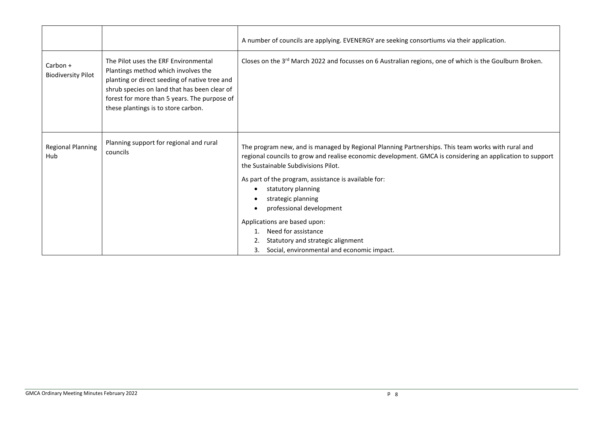|                                       |                                                                                                                                                                                                                                                                     | A number of councils are applying. EVENERGY are seeking consortiums via their application.                                                                                                                                                                                                                                                                                                                                                                                                                                                     |
|---------------------------------------|---------------------------------------------------------------------------------------------------------------------------------------------------------------------------------------------------------------------------------------------------------------------|------------------------------------------------------------------------------------------------------------------------------------------------------------------------------------------------------------------------------------------------------------------------------------------------------------------------------------------------------------------------------------------------------------------------------------------------------------------------------------------------------------------------------------------------|
| Carbon +<br><b>Biodiversity Pilot</b> | The Pilot uses the ERF Environmental<br>Plantings method which involves the<br>planting or direct seeding of native tree and<br>shrub species on land that has been clear of<br>forest for more than 5 years. The purpose of<br>these plantings is to store carbon. | Closes on the 3 <sup>rd</sup> March 2022 and focusses on 6 Australian regions, one of which is the Goulburn Broken.                                                                                                                                                                                                                                                                                                                                                                                                                            |
| <b>Regional Planning</b><br>Hub       | Planning support for regional and rural<br>councils                                                                                                                                                                                                                 | The program new, and is managed by Regional Planning Partnerships. This team works with rural and<br>regional councils to grow and realise economic development. GMCA is considering an application to support<br>the Sustainable Subdivisions Pilot.<br>As part of the program, assistance is available for:<br>statutory planning<br>strategic planning<br>professional development<br>Applications are based upon:<br>1. Need for assistance<br>Statutory and strategic alignment<br>2.<br>Social, environmental and economic impact.<br>3. |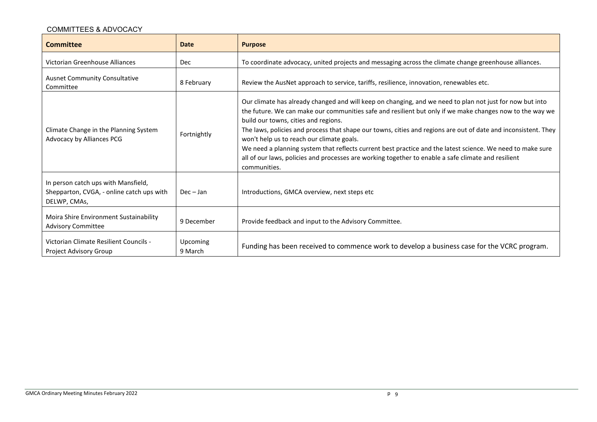# COMMITTEES & ADVOCACY

| Committee                                                                                        | <b>Date</b>         | <b>Purpose</b>                                                                                                                                                                                                                                                                                                                                                                                                                                                                                                                                                                                                                                                   |
|--------------------------------------------------------------------------------------------------|---------------------|------------------------------------------------------------------------------------------------------------------------------------------------------------------------------------------------------------------------------------------------------------------------------------------------------------------------------------------------------------------------------------------------------------------------------------------------------------------------------------------------------------------------------------------------------------------------------------------------------------------------------------------------------------------|
| Victorian Greenhouse Alliances                                                                   | <b>Dec</b>          | To coordinate advocacy, united projects and messaging across the climate change greenhouse alliances.                                                                                                                                                                                                                                                                                                                                                                                                                                                                                                                                                            |
| <b>Ausnet Community Consultative</b><br>Committee                                                | 8 February          | Review the AusNet approach to service, tariffs, resilience, innovation, renewables etc.                                                                                                                                                                                                                                                                                                                                                                                                                                                                                                                                                                          |
| Climate Change in the Planning System<br>Advocacy by Alliances PCG                               | Fortnightly         | Our climate has already changed and will keep on changing, and we need to plan not just for now but into<br>the future. We can make our communities safe and resilient but only if we make changes now to the way we<br>build our towns, cities and regions.<br>The laws, policies and process that shape our towns, cities and regions are out of date and inconsistent. They<br>won't help us to reach our climate goals.<br>We need a planning system that reflects current best practice and the latest science. We need to make sure<br>all of our laws, policies and processes are working together to enable a safe climate and resilient<br>communities. |
| In person catch ups with Mansfield,<br>Shepparton, CVGA, - online catch ups with<br>DELWP, CMAs, | Dec – Jan           | Introductions, GMCA overview, next steps etc.                                                                                                                                                                                                                                                                                                                                                                                                                                                                                                                                                                                                                    |
| Moira Shire Environment Sustainability<br><b>Advisory Committee</b>                              | 9 December          | Provide feedback and input to the Advisory Committee.                                                                                                                                                                                                                                                                                                                                                                                                                                                                                                                                                                                                            |
| Victorian Climate Resilient Councils -<br>Project Advisory Group                                 | Upcoming<br>9 March | Funding has been received to commence work to develop a business case for the VCRC program.                                                                                                                                                                                                                                                                                                                                                                                                                                                                                                                                                                      |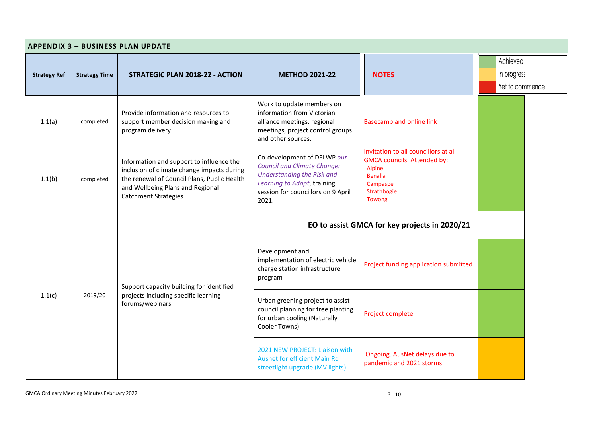| <b>APPENDIX 3 - BUSINESS PLAN UPDATE</b> |                      |                                                                                                                                                                                                          |                                                                                                                                                                               |                                                                                                                                             |                                            |  |  |  |
|------------------------------------------|----------------------|----------------------------------------------------------------------------------------------------------------------------------------------------------------------------------------------------------|-------------------------------------------------------------------------------------------------------------------------------------------------------------------------------|---------------------------------------------------------------------------------------------------------------------------------------------|--------------------------------------------|--|--|--|
| <b>Strategy Ref</b>                      | <b>Strategy Time</b> | <b>STRATEGIC PLAN 2018-22 - ACTION</b>                                                                                                                                                                   | <b>METHOD 2021-22</b>                                                                                                                                                         | <b>NOTES</b>                                                                                                                                | Achieved<br>In progress<br>Yet to commence |  |  |  |
| 1.1(a)                                   | completed            | Provide information and resources to<br>support member decision making and<br>program delivery                                                                                                           | Work to update members on<br>information from Victorian<br>alliance meetings, regional<br>meetings, project control groups<br>and other sources.                              | <b>Basecamp and online link</b>                                                                                                             |                                            |  |  |  |
| 1.1(b)                                   | completed            | Information and support to influence the<br>inclusion of climate change impacts during<br>the renewal of Council Plans, Public Health<br>and Wellbeing Plans and Regional<br><b>Catchment Strategies</b> | Co-development of DELWP our<br><b>Council and Climate Change:</b><br>Understanding the Risk and<br>Learning to Adapt, training<br>session for councillors on 9 April<br>2021. | Invitation to all councillors at all<br><b>GMCA councils. Attended by:</b><br>Alpine<br><b>Benalla</b><br>Campaspe<br>Strathbogie<br>Towong |                                            |  |  |  |
|                                          |                      | Support capacity building for identified<br>2019/20<br>projects including specific learning<br>forums/webinars                                                                                           | EO to assist GMCA for key projects in 2020/21                                                                                                                                 |                                                                                                                                             |                                            |  |  |  |
| 1.1(c)                                   |                      |                                                                                                                                                                                                          | Development and<br>implementation of electric vehicle<br>charge station infrastructure<br>program                                                                             | Project funding application submitted                                                                                                       |                                            |  |  |  |
|                                          |                      |                                                                                                                                                                                                          | Urban greening project to assist<br>council planning for tree planting<br>for urban cooling (Naturally<br>Cooler Towns)                                                       | Project complete                                                                                                                            |                                            |  |  |  |
|                                          |                      |                                                                                                                                                                                                          |                                                                                                                                                                               |                                                                                                                                             |                                            |  |  |  |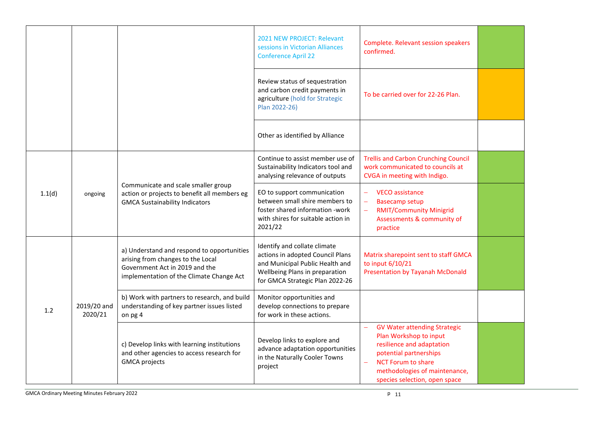|        |                                                                                                                                         |                                                                                                                                                               | 2021 NEW PROJECT: Relevant<br>sessions in Victorian Alliances<br><b>Conference April 22</b>                                                                              | Complete. Relevant session speakers<br>confirmed.                                                                                                                                                                                               |  |
|--------|-----------------------------------------------------------------------------------------------------------------------------------------|---------------------------------------------------------------------------------------------------------------------------------------------------------------|--------------------------------------------------------------------------------------------------------------------------------------------------------------------------|-------------------------------------------------------------------------------------------------------------------------------------------------------------------------------------------------------------------------------------------------|--|
|        |                                                                                                                                         |                                                                                                                                                               | Review status of sequestration<br>and carbon credit payments in<br>agriculture (hold for Strategic<br>Plan 2022-26)                                                      | To be carried over for 22-26 Plan.                                                                                                                                                                                                              |  |
|        |                                                                                                                                         |                                                                                                                                                               | Other as identified by Alliance                                                                                                                                          |                                                                                                                                                                                                                                                 |  |
|        | Communicate and scale smaller group<br>action or projects to benefit all members eg<br>ongoing<br><b>GMCA Sustainability Indicators</b> | Continue to assist member use of<br>Sustainability Indicators tool and<br>analysing relevance of outputs                                                      | <b>Trellis and Carbon Crunching Council</b><br>work communicated to councils at<br>CVGA in meeting with Indigo.                                                          |                                                                                                                                                                                                                                                 |  |
| 1.1(d) |                                                                                                                                         |                                                                                                                                                               | EO to support communication<br>between small shire members to<br>foster shared information -work<br>with shires for suitable action in<br>2021/22                        | <b>VECO</b> assistance<br>$\overline{\phantom{m}}$<br><b>Basecamp setup</b><br>$\overline{\phantom{m}}$<br><b>RMIT/Community Minigrid</b><br>$\rightarrow$<br>Assessments & community of<br>practice                                            |  |
|        |                                                                                                                                         | a) Understand and respond to opportunities<br>arising from changes to the Local<br>Government Act in 2019 and the<br>implementation of the Climate Change Act | Identify and collate climate<br>actions in adopted Council Plans<br>and Municipal Public Health and<br>Wellbeing Plans in preparation<br>for GMCA Strategic Plan 2022-26 | Matrix sharepoint sent to staff GMCA<br>to input 6/10/21<br><b>Presentation by Tayanah McDonald</b>                                                                                                                                             |  |
| 1.2    | 2019/20 and<br>2020/21                                                                                                                  | b) Work with partners to research, and build<br>understanding of key partner issues listed<br>on pg 4                                                         | Monitor opportunities and<br>develop connections to prepare<br>for work in these actions.                                                                                |                                                                                                                                                                                                                                                 |  |
|        |                                                                                                                                         | c) Develop links with learning institutions<br>and other agencies to access research for<br><b>GMCA</b> projects                                              | Develop links to explore and<br>advance adaptation opportunities<br>in the Naturally Cooler Towns<br>project                                                             | <b>GV Water attending Strategic</b><br>Plan Workshop to input<br>resilience and adaptation<br>potential partnerships<br><b>NCT Forum to share</b><br>$\overline{\phantom{m}}$<br>methodologies of maintenance,<br>species selection, open space |  |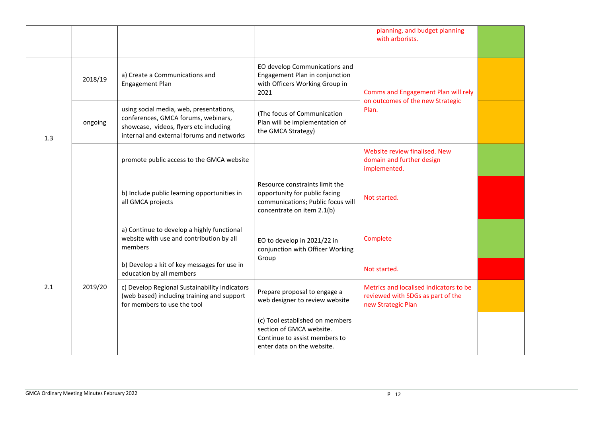|     |                                                                                                                                                                           |                                                                                                                                                                       |                                                                                                                                    | planning, and budget planning<br>with arborists.                                                  |  |
|-----|---------------------------------------------------------------------------------------------------------------------------------------------------------------------------|-----------------------------------------------------------------------------------------------------------------------------------------------------------------------|------------------------------------------------------------------------------------------------------------------------------------|---------------------------------------------------------------------------------------------------|--|
|     | EO develop Communications and<br>Engagement Plan in conjunction<br>a) Create a Communications and<br>2018/19<br>Engagement Plan<br>with Officers Working Group in<br>2021 |                                                                                                                                                                       | Comms and Engagement Plan will rely                                                                                                |                                                                                                   |  |
| 1.3 | ongoing                                                                                                                                                                   | using social media, web, presentations,<br>conferences, GMCA forums, webinars,<br>showcase, videos, flyers etc including<br>internal and external forums and networks | on outcomes of the new Strategic<br>Plan.                                                                                          |                                                                                                   |  |
|     |                                                                                                                                                                           | promote public access to the GMCA website                                                                                                                             |                                                                                                                                    | Website review finalised. New<br>domain and further design<br>implemented.                        |  |
|     |                                                                                                                                                                           | b) Include public learning opportunities in<br>all GMCA projects                                                                                                      | Resource constraints limit the<br>opportunity for public facing<br>communications; Public focus will<br>concentrate on item 2.1(b) | Not started.                                                                                      |  |
|     |                                                                                                                                                                           | a) Continue to develop a highly functional<br>website with use and contribution by all<br>members                                                                     | EO to develop in 2021/22 in<br>conjunction with Officer Working                                                                    | Complete                                                                                          |  |
|     |                                                                                                                                                                           | b) Develop a kit of key messages for use in<br>education by all members                                                                                               | Group                                                                                                                              | Not started.                                                                                      |  |
| 2.1 | 2019/20                                                                                                                                                                   | c) Develop Regional Sustainability Indicators<br>(web based) including training and support<br>for members to use the tool                                            | Prepare proposal to engage a<br>web designer to review website                                                                     | Metrics and localised indicators to be<br>reviewed with SDGs as part of the<br>new Strategic Plan |  |
|     |                                                                                                                                                                           |                                                                                                                                                                       | (c) Tool established on members<br>section of GMCA website.<br>Continue to assist members to<br>enter data on the website.         |                                                                                                   |  |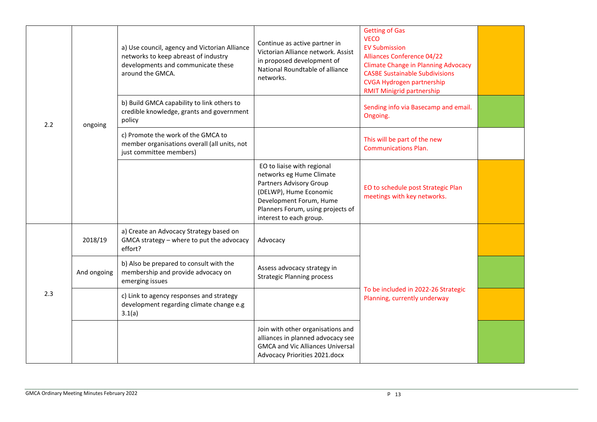|     |             | a) Use council, agency and Victorian Alliance<br>networks to keep abreast of industry<br>developments and communicate these<br>around the GMCA. | Continue as active partner in<br>Victorian Alliance network. Assist<br>in proposed development of<br>National Roundtable of alliance<br>networks.                                                      | <b>Getting of Gas</b><br><b>VECO</b><br><b>EV Submission</b><br><b>Alliances Conference 04/22</b><br><b>Climate Change in Planning Advocacy</b><br><b>CASBE Sustainable Subdivisions</b><br><b>CVGA Hydrogen partnership</b><br><b>RMIT Minigrid partnership</b> |  |
|-----|-------------|-------------------------------------------------------------------------------------------------------------------------------------------------|--------------------------------------------------------------------------------------------------------------------------------------------------------------------------------------------------------|------------------------------------------------------------------------------------------------------------------------------------------------------------------------------------------------------------------------------------------------------------------|--|
| 2.2 | ongoing     | b) Build GMCA capability to link others to<br>credible knowledge, grants and government<br>policy                                               |                                                                                                                                                                                                        | Sending info via Basecamp and email.<br>Ongoing.                                                                                                                                                                                                                 |  |
|     |             | c) Promote the work of the GMCA to<br>member organisations overall (all units, not<br>just committee members)                                   |                                                                                                                                                                                                        | This will be part of the new<br><b>Communications Plan.</b>                                                                                                                                                                                                      |  |
|     |             |                                                                                                                                                 | EO to liaise with regional<br>networks eg Hume Climate<br>Partners Advisory Group<br>(DELWP), Hume Economic<br>Development Forum, Hume<br>Planners Forum, using projects of<br>interest to each group. | EO to schedule post Strategic Plan<br>meetings with key networks.                                                                                                                                                                                                |  |
|     | 2018/19     | a) Create an Advocacy Strategy based on<br>GMCA strategy - where to put the advocacy<br>effort?                                                 | Advocacy                                                                                                                                                                                               |                                                                                                                                                                                                                                                                  |  |
| 2.3 | And ongoing | b) Also be prepared to consult with the<br>membership and provide advocacy on<br>emerging issues                                                | Assess advocacy strategy in<br><b>Strategic Planning process</b>                                                                                                                                       |                                                                                                                                                                                                                                                                  |  |
|     |             | c) Link to agency responses and strategy<br>development regarding climate change e.g<br>3.1(a)                                                  | To be included in 2022-26 Strategic<br>Planning, currently underway                                                                                                                                    |                                                                                                                                                                                                                                                                  |  |
|     |             |                                                                                                                                                 | Join with other organisations and<br>alliances in planned advocacy see<br><b>GMCA and Vic Alliances Universal</b><br>Advocacy Priorities 2021.docx                                                     |                                                                                                                                                                                                                                                                  |  |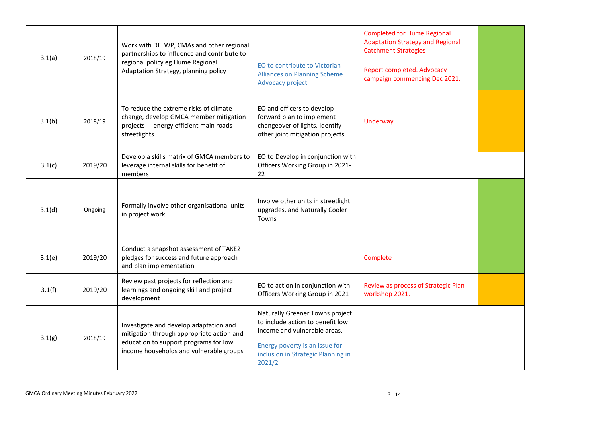|        |         | Work with DELWP, CMAs and other regional<br>partnerships to influence and contribute to                                                                                 |                                                                                                                              | <b>Completed for Hume Regional</b><br><b>Adaptation Strategy and Regional</b><br><b>Catchment Strategies</b> |  |
|--------|---------|-------------------------------------------------------------------------------------------------------------------------------------------------------------------------|------------------------------------------------------------------------------------------------------------------------------|--------------------------------------------------------------------------------------------------------------|--|
| 3.1(a) | 2018/19 | regional policy eg Hume Regional<br>Adaptation Strategy, planning policy                                                                                                | EO to contribute to Victorian<br><b>Alliances on Planning Scheme</b><br>Advocacy project                                     | Report completed. Advocacy<br>campaign commencing Dec 2021.                                                  |  |
| 3.1(b) | 2018/19 | To reduce the extreme risks of climate<br>change, develop GMCA member mitigation<br>projects - energy efficient main roads<br>streetlights                              | EO and officers to develop<br>forward plan to implement<br>changeover of lights. Identify<br>other joint mitigation projects | Underway.                                                                                                    |  |
| 3.1(c) | 2019/20 | Develop a skills matrix of GMCA members to<br>leverage internal skills for benefit of<br>members                                                                        | EO to Develop in conjunction with<br>Officers Working Group in 2021-<br>22                                                   |                                                                                                              |  |
| 3.1(d) | Ongoing | Formally involve other organisational units<br>in project work                                                                                                          | Involve other units in streetlight<br>upgrades, and Naturally Cooler<br>Towns                                                |                                                                                                              |  |
| 3.1(e) | 2019/20 | Conduct a snapshot assessment of TAKE2<br>pledges for success and future approach<br>and plan implementation                                                            |                                                                                                                              | Complete                                                                                                     |  |
| 3.1(f) | 2019/20 | Review past projects for reflection and<br>learnings and ongoing skill and project<br>development                                                                       | EO to action in conjunction with<br>Officers Working Group in 2021                                                           | Review as process of Strategic Plan<br>workshop 2021.                                                        |  |
|        |         | Investigate and develop adaptation and<br>mitigation through appropriate action and<br>education to support programs for low<br>income households and vulnerable groups | Naturally Greener Towns project<br>to include action to benefit low<br>income and vulnerable areas.                          |                                                                                                              |  |
| 3.1(g) | 2018/19 |                                                                                                                                                                         | Energy poverty is an issue for<br>inclusion in Strategic Planning in<br>2021/2                                               |                                                                                                              |  |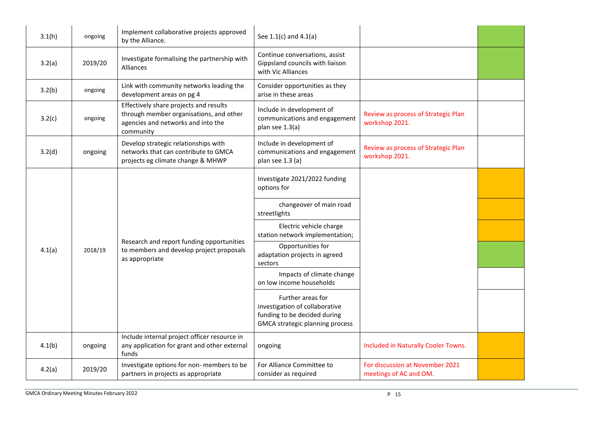| 3.1(h) | ongoing | Implement collaborative projects approved<br>by the Alliance.                                                                        | See $1.1(c)$ and $4.1(a)$                                                                                              |                                                           |  |
|--------|---------|--------------------------------------------------------------------------------------------------------------------------------------|------------------------------------------------------------------------------------------------------------------------|-----------------------------------------------------------|--|
| 3.2(a) | 2019/20 | Investigate formalising the partnership with<br>Alliances                                                                            | Continue conversations, assist<br>Gippsland councils with liaison<br>with Vic Alliances                                |                                                           |  |
| 3.2(b) | ongoing | Link with community networks leading the<br>development areas on pg 4                                                                | Consider opportunities as they<br>arise in these areas                                                                 |                                                           |  |
| 3.2(c) | ongoing | Effectively share projects and results<br>through member organisations, and other<br>agencies and networks and into the<br>community | Include in development of<br>communications and engagement<br>plan see 1.3(a)                                          | Review as process of Strategic Plan<br>workshop 2021.     |  |
| 3.2(d) | ongoing | Develop strategic relationships with<br>networks that can contribute to GMCA<br>projects eg climate change & MHWP                    | Include in development of<br>communications and engagement<br>plan see 1.3 (a)                                         | Review as process of Strategic Plan<br>workshop 2021.     |  |
|        |         |                                                                                                                                      | Investigate 2021/2022 funding<br>options for                                                                           |                                                           |  |
|        |         |                                                                                                                                      | changeover of main road<br>streetlights                                                                                |                                                           |  |
|        |         |                                                                                                                                      | Electric vehicle charge<br>station network implementation;                                                             |                                                           |  |
| 4.1(a) | 2018/19 | Research and report funding opportunities<br>to members and develop project proposals<br>as appropriate                              | Opportunities for<br>adaptation projects in agreed<br>sectors                                                          |                                                           |  |
|        |         |                                                                                                                                      | Impacts of climate change<br>on low income households                                                                  |                                                           |  |
|        |         |                                                                                                                                      | Further areas for<br>investigation of collaborative<br>funding to be decided during<br>GMCA strategic planning process |                                                           |  |
| 4.1(b) | ongoing | Include internal project officer resource in<br>any application for grant and other external<br>funds                                | ongoing                                                                                                                | Included in Naturally Cooler Towns.                       |  |
| 4.2(a) | 2019/20 | Investigate options for non- members to be<br>partners in projects as appropriate                                                    | For Alliance Committee to<br>consider as required                                                                      | For discussion at November 2021<br>meetings of AC and OM. |  |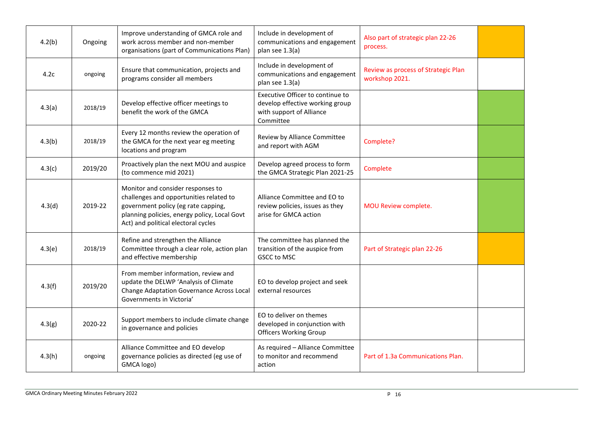| 4.2(b) | Ongoing | Improve understanding of GMCA role and<br>work across member and non-member<br>organisations (part of Communications Plan)                                                                                 | Include in development of<br>communications and engagement<br>plan see 1.3(a)                                | Also part of strategic plan 22-26<br>process.         |  |
|--------|---------|------------------------------------------------------------------------------------------------------------------------------------------------------------------------------------------------------------|--------------------------------------------------------------------------------------------------------------|-------------------------------------------------------|--|
| 4.2c   | ongoing | Ensure that communication, projects and<br>programs consider all members                                                                                                                                   | Include in development of<br>communications and engagement<br>plan see 1.3(a)                                | Review as process of Strategic Plan<br>workshop 2021. |  |
| 4.3(a) | 2018/19 | Develop effective officer meetings to<br>benefit the work of the GMCA                                                                                                                                      | Executive Officer to continue to<br>develop effective working group<br>with support of Alliance<br>Committee |                                                       |  |
| 4.3(b) | 2018/19 | Every 12 months review the operation of<br>the GMCA for the next year eg meeting<br>locations and program                                                                                                  | Review by Alliance Committee<br>and report with AGM                                                          | Complete?                                             |  |
| 4.3(c) | 2019/20 | Proactively plan the next MOU and auspice<br>(to commence mid 2021)                                                                                                                                        | Develop agreed process to form<br>the GMCA Strategic Plan 2021-25                                            | Complete                                              |  |
| 4.3(d) | 2019-22 | Monitor and consider responses to<br>challenges and opportunities related to<br>government policy (eg rate capping,<br>planning policies, energy policy, Local Govt<br>Act) and political electoral cycles | Alliance Committee and EO to<br>review policies, issues as they<br>arise for GMCA action                     | MOU Review complete.                                  |  |
| 4.3(e) | 2018/19 | Refine and strengthen the Alliance<br>Committee through a clear role, action plan<br>and effective membership                                                                                              | The committee has planned the<br>transition of the auspice from<br><b>GSCC to MSC</b>                        | Part of Strategic plan 22-26                          |  |
| 4.3(f) | 2019/20 | From member information, review and<br>update the DELWP 'Analysis of Climate<br>Change Adaptation Governance Across Local<br>Governments in Victoria'                                                      | EO to develop project and seek<br>external resources                                                         |                                                       |  |
| 4.3(g) | 2020-22 | Support members to include climate change<br>in governance and policies                                                                                                                                    | EO to deliver on themes<br>developed in conjunction with<br><b>Officers Working Group</b>                    |                                                       |  |
| 4.3(h) | ongoing | Alliance Committee and EO develop<br>governance policies as directed (eg use of<br>GMCA logo)                                                                                                              | As required - Alliance Committee<br>to monitor and recommend<br>action                                       | Part of 1.3a Communications Plan.                     |  |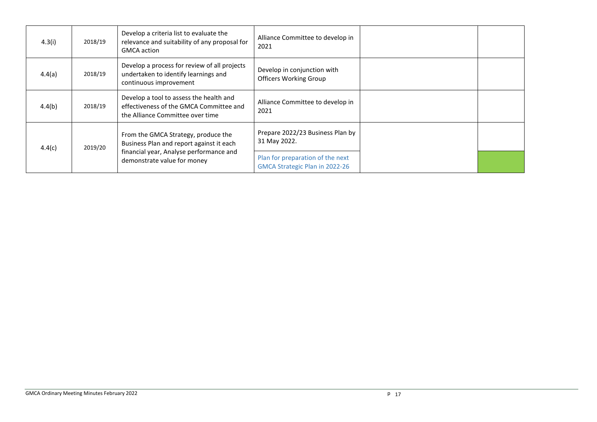| 4.3(i) | 2018/19 | Develop a criteria list to evaluate the<br>relevance and suitability of any proposal for<br><b>GMCA</b> action         | Alliance Committee to develop in<br>2021                           |  |
|--------|---------|------------------------------------------------------------------------------------------------------------------------|--------------------------------------------------------------------|--|
| 4.4(a) | 2018/19 | Develop a process for review of all projects<br>undertaken to identify learnings and<br>continuous improvement         | Develop in conjunction with<br><b>Officers Working Group</b>       |  |
| 4.4(b) | 2018/19 | Develop a tool to assess the health and<br>effectiveness of the GMCA Committee and<br>the Alliance Committee over time | Alliance Committee to develop in<br>2021                           |  |
| 4.4(c) | 2019/20 | From the GMCA Strategy, produce the<br>Business Plan and report against it each                                        | Prepare 2022/23 Business Plan by<br>31 May 2022.                   |  |
|        |         | financial year, Analyse performance and<br>demonstrate value for money                                                 | Plan for preparation of the next<br>GMCA Strategic Plan in 2022-26 |  |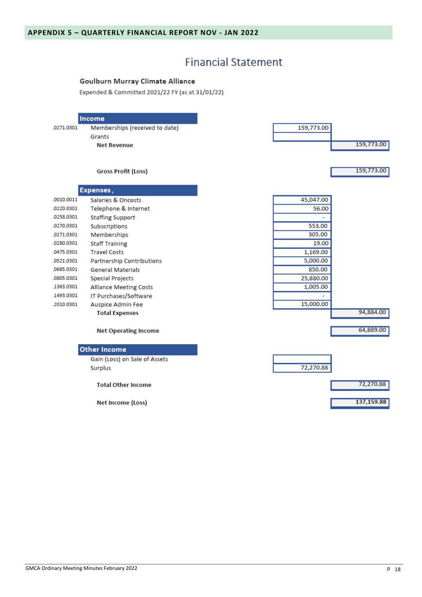# **Financial Statement**

#### **Goulburn Murray Climate Alliance**

Expended & Committed 2021/22 FY (as at 31/01/22)

|            | Income                         |
|------------|--------------------------------|
| .0271.0301 | Memberships (received to date) |
|            | Grants                         |
|            | <b>Net Revenue</b>             |
|            |                                |
|            | <b>Gross Profit (Loss)</b>     |
|            |                                |
|            | Expenses,                      |
| .0010.0011 | Salaries & Oncosts             |
| .0220.0301 | Telephone & Internet           |
| .0258.0301 | <b>Staffing Support</b>        |
| .0270.0301 | Subscriptions                  |
| .0271.0301 | Memberships                    |
| .0280.0301 | <b>Staff Training</b>          |
| .0475.0301 | <b>Travel Costs</b>            |
| .0521.0301 | Partnership Contributions      |
| .0665.0301 | <b>General Materials</b>       |
| .0805.0301 | <b>Special Projects</b>        |
| .1363.0301 | <b>Alliance Meeting Costs</b>  |
| .1493.0301 | IT Purchases/Software          |
| .2010.0301 | Auspice Admin Fee              |
|            | <b>Total Expenses</b>          |
|            |                                |
|            | <b>Net Operating Income</b>    |
|            | <b>Other Income</b>            |
|            | Gain (Loss) on Sale of Assets  |
|            | <b>Surplus</b>                 |
|            |                                |
|            | <b>Total Other Income</b>      |
|            |                                |
|            | Net Income (Loss)              |
|            |                                |
|            |                                |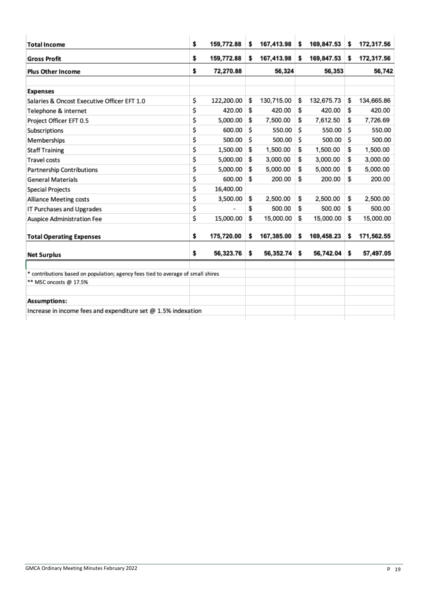| <b>Total Income</b>                                                            | \$<br>159,772.88 | \$ | 167,413.98 | \$ | 169,847.53 | \$ | 172,317.56 |
|--------------------------------------------------------------------------------|------------------|----|------------|----|------------|----|------------|
| <b>Gross Profit</b>                                                            | \$<br>159,772.88 | \$ | 167,413.98 | \$ | 169,847.53 | \$ | 172,317.56 |
| <b>Plus Other Income</b>                                                       | \$<br>72,270.88  |    | 56,324     |    | 56,353     |    | 56,742     |
|                                                                                |                  |    |            |    |            |    |            |
| <b>Expenses</b>                                                                |                  |    |            |    |            |    |            |
| Salaries & Oncost Executive Officer EFT 1.0                                    | \$<br>122,200.00 | \$ | 130,715.00 | \$ | 132,675.73 | \$ | 134,665.86 |
| Telephone & internet                                                           | \$<br>420.00     | \$ | 420.00     | \$ | 420.00     | \$ | 420.00     |
| Project Officer EFT 0.5                                                        | \$<br>5,000.00   | \$ | 7,500.00   | \$ | 7,612.50   | \$ | 7,726.69   |
| Subscriptions                                                                  | \$<br>600.00     | Ś  | 550.00     | Ś  | 550.00     | Ś  | 550.00     |
| Memberships                                                                    | \$<br>500.00     | Ś  | 500.00     | Ś  | 500.00     | Ś  | 500.00     |
| <b>Staff Training</b>                                                          | \$<br>1,500.00   | \$ | 1,500.00   | \$ | 1,500.00   | \$ | 1,500.00   |
| <b>Travel costs</b>                                                            | \$<br>5,000.00   | \$ | 3,000.00   | \$ | 3,000.00   | \$ | 3,000.00   |
| Partnership Contributions                                                      | \$<br>5,000.00   | \$ | 5,000.00   | \$ | 5,000.00   | \$ | 5,000.00   |
| <b>General Materials</b>                                                       | \$<br>600.00     | \$ | 200.00     | \$ | 200.00     | \$ | 200.00     |
| <b>Special Projects</b>                                                        | \$<br>16,400.00  |    |            |    |            |    |            |
| Alliance Meeting costs                                                         | \$<br>3,500.00   | \$ | 2,500.00   | \$ | 2,500.00   | \$ | 2,500.00   |
| IT Purchases and Upgrades                                                      | \$               | \$ | 500.00     | \$ | 500.00     | \$ | 500.00     |
| Auspice Administration Fee                                                     | \$<br>15,000.00  | \$ | 15,000.00  | \$ | 15,000.00  | \$ | 15,000.00  |
| <b>Total Operating Expenses</b>                                                | \$<br>175,720.00 | \$ | 167,385.00 | \$ | 169,458.23 | \$ | 171,562.55 |
| <b>Net Surplus</b>                                                             | \$<br>56,323.76  | \$ | 56,352.74  | \$ | 56,742.04  | \$ | 57,497.05  |
|                                                                                |                  |    |            |    |            |    |            |
| contributions based on population; agency fees tied to average of small shires |                  |    |            |    |            |    |            |
| ** MSC oncosts @ 17.5%                                                         |                  |    |            |    |            |    |            |
|                                                                                |                  |    |            |    |            |    |            |
| <b>Assumptions:</b>                                                            |                  |    |            |    |            |    |            |
| Increase in income fees and expenditure set @ 1.5% indexation                  |                  |    |            |    |            |    |            |
|                                                                                |                  |    |            |    |            |    |            |